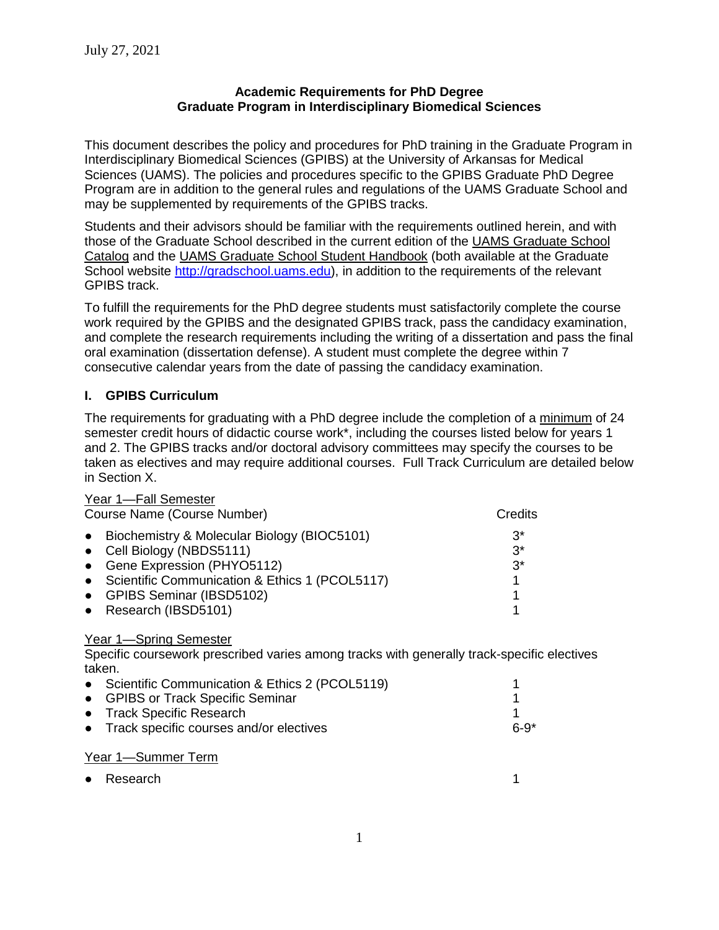#### **Academic Requirements for PhD Degree Graduate Program in Interdisciplinary Biomedical Sciences**

This document describes the policy and procedures for PhD training in the Graduate Program in Interdisciplinary Biomedical Sciences (GPIBS) at the University of Arkansas for Medical Sciences (UAMS). The policies and procedures specific to the GPIBS Graduate PhD Degree Program are in addition to the general rules and regulations of the UAMS Graduate School and may be supplemented by requirements of the GPIBS tracks.

Students and their advisors should be familiar with the requirements outlined herein, and with those of the Graduate School described in the current edition of the UAMS Graduate School Catalog and the UAMS Graduate School Student Handbook (both available at the Graduate School website [http://gradschool.uams.edu\)](http://gradschool.uams.edu/), in addition to the requirements of the relevant GPIBS track.

To fulfill the requirements for the PhD degree students must satisfactorily complete the course work required by the GPIBS and the designated GPIBS track, pass the candidacy examination, and complete the research requirements including the writing of a dissertation and pass the final oral examination (dissertation defense). A student must complete the degree within 7 consecutive calendar years from the date of passing the candidacy examination.

# **I. GPIBS Curriculum**

The requirements for graduating with a PhD degree include the completion of a minimum of 24 semester credit hours of didactic course work\*, including the courses listed below for years 1 and 2. The GPIBS tracks and/or doctoral advisory committees may specify the courses to be taken as electives and may require additional courses. Full Track Curriculum are detailed below in Section X.

| Year 1-Fall Semester                                     |         |
|----------------------------------------------------------|---------|
| Course Name (Course Number)                              | Credits |
| Biochemistry & Molecular Biology (BIOC5101)<br>$\bullet$ | $3^*$   |
| • Cell Biology (NBDS5111)                                | $3^*$   |
| • Gene Expression (PHYO5112)                             | $3^*$   |
| • Scientific Communication & Ethics 1 (PCOL5117)         |         |
| • GPIBS Seminar (IBSD5102)                               |         |
| • Research (IBSD5101)                                    |         |

#### Year 1-Spring Semester

Specific coursework prescribed varies among tracks with generally track-specific electives taken.

| • Scientific Communication & Ethics 2 (PCOL5119) |        |
|--------------------------------------------------|--------|
| • GPIBS or Track Specific Seminar                |        |
| • Track Specific Research                        |        |
| • Track specific courses and/or electives        | $6-9*$ |
|                                                  |        |

#### Year 1—Summer Term

| • Research |  |
|------------|--|
|            |  |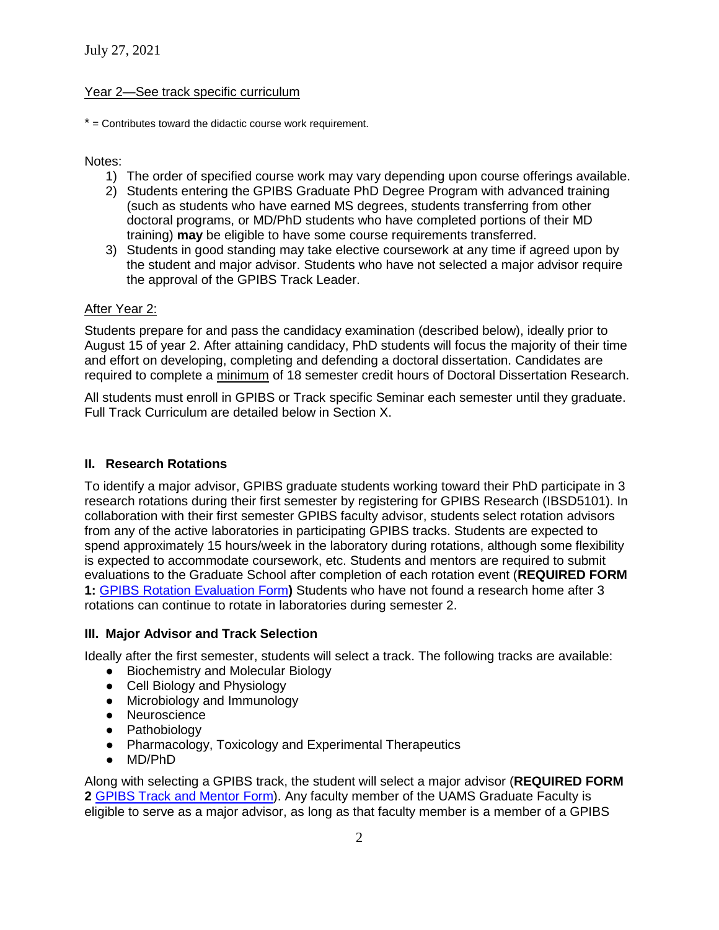#### Year 2—See track specific curriculum

 $*$  = Contributes toward the didactic course work requirement.

Notes:

- 1) The order of specified course work may vary depending upon course offerings available.
- 2) Students entering the GPIBS Graduate PhD Degree Program with advanced training (such as students who have earned MS degrees, students transferring from other doctoral programs, or MD/PhD students who have completed portions of their MD training) **may** be eligible to have some course requirements transferred.
- 3) Students in good standing may take elective coursework at any time if agreed upon by the student and major advisor. Students who have not selected a major advisor require the approval of the GPIBS Track Leader.

#### After Year 2:

Students prepare for and pass the candidacy examination (described below), ideally prior to August 15 of year 2. After attaining candidacy, PhD students will focus the majority of their time and effort on developing, completing and defending a doctoral dissertation. Candidates are required to complete a minimum of 18 semester credit hours of Doctoral Dissertation Research.

All students must enroll in GPIBS or Track specific Seminar each semester until they graduate. Full Track Curriculum are detailed below in Section X.

#### **II. Research Rotations**

To identify a major advisor, GPIBS graduate students working toward their PhD participate in 3 research rotations during their first semester by registering for GPIBS Research (IBSD5101). In collaboration with their first semester GPIBS faculty advisor, students select rotation advisors from any of the active laboratories in participating GPIBS tracks. Students are expected to spend approximately 15 hours/week in the laboratory during rotations, although some flexibility is expected to accommodate coursework, etc. Students and mentors are required to submit evaluations to the Graduate School after completion of each rotation event (**REQUIRED FORM 1:** [GPIBS Rotation Evaluation Form](https://gradschool.uams.edu/wp-content/uploads/sites/147/2021/04/GPIBS-rotation-evaluation-form.pdf)**)** Students who have not found a research home after 3 rotations can continue to rotate in laboratories during semester 2.

#### **III. Major Advisor and Track Selection**

Ideally after the first semester, students will select a track. The following tracks are available:

- Biochemistry and Molecular Biology
- Cell Biology and Physiology
- Microbiology and Immunology
- Neuroscience
- Pathobiology
- Pharmacology, Toxicology and Experimental Therapeutics
- MD/PhD

Along with selecting a GPIBS track, the student will select a major advisor (**REQUIRED FORM 2** [GPIBS Track and Mentor Form\)](https://gradschool.uams.edu/wp-content/uploads/sites/147/2021/04/GPIBS-track-and-mentor-form-lp.pdf). Any faculty member of the UAMS Graduate Faculty is eligible to serve as a major advisor, as long as that faculty member is a member of a GPIBS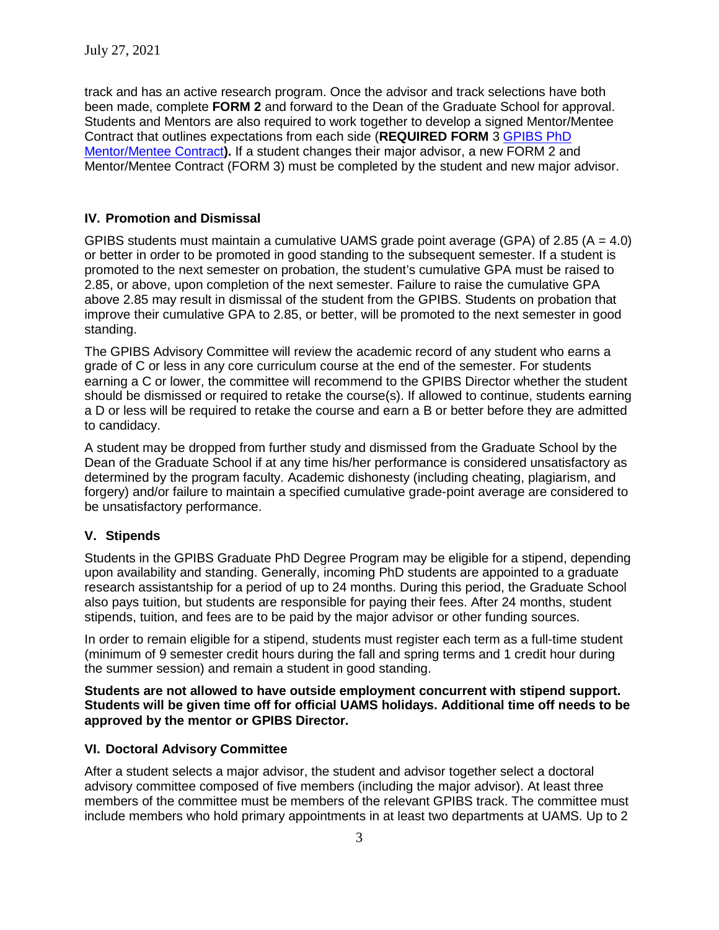track and has an active research program. Once the advisor and track selections have both been made, complete **FORM 2** and forward to the Dean of the Graduate School for approval. Students and Mentors are also required to work together to develop a signed Mentor/Mentee Contract that outlines expectations from each side (**REQUIRED FORM** 3 [GPIBS](https://gradschool.uams.edu/wp-content/uploads/sites/147/2021/07/07.29.21-GPIBS-FORM-3-student-mentor-contract-2021-final-2021-003.pdf) PhD [Mentor/Mentee Contract](https://gradschool.uams.edu/wp-content/uploads/sites/147/2021/07/07.29.21-GPIBS-FORM-3-student-mentor-contract-2021-final-2021-003.pdf)**).** If a student changes their major advisor, a new FORM 2 and Mentor/Mentee Contract (FORM 3) must be completed by the student and new major advisor.

### **IV. Promotion and Dismissal**

GPIBS students must maintain a cumulative UAMS grade point average (GPA) of 2.85 (A = 4.0) or better in order to be promoted in good standing to the subsequent semester. If a student is promoted to the next semester on probation, the student's cumulative GPA must be raised to 2.85, or above, upon completion of the next semester. Failure to raise the cumulative GPA above 2.85 may result in dismissal of the student from the GPIBS. Students on probation that improve their cumulative GPA to 2.85, or better, will be promoted to the next semester in good standing.

The GPIBS Advisory Committee will review the academic record of any student who earns a grade of C or less in any core curriculum course at the end of the semester. For students earning a C or lower, the committee will recommend to the GPIBS Director whether the student should be dismissed or required to retake the course(s). If allowed to continue, students earning a D or less will be required to retake the course and earn a B or better before they are admitted to candidacy.

A student may be dropped from further study and dismissed from the Graduate School by the Dean of the Graduate School if at any time his/her performance is considered unsatisfactory as determined by the program faculty. Academic dishonesty (including cheating, plagiarism, and forgery) and/or failure to maintain a specified cumulative grade-point average are considered to be unsatisfactory performance.

#### **V. Stipends**

Students in the GPIBS Graduate PhD Degree Program may be eligible for a stipend, depending upon availability and standing. Generally, incoming PhD students are appointed to a graduate research assistantship for a period of up to 24 months. During this period, the Graduate School also pays tuition, but students are responsible for paying their fees. After 24 months, student stipends, tuition, and fees are to be paid by the major advisor or other funding sources.

In order to remain eligible for a stipend, students must register each term as a full-time student (minimum of 9 semester credit hours during the fall and spring terms and 1 credit hour during the summer session) and remain a student in good standing.

**Students are not allowed to have outside employment concurrent with stipend support. Students will be given time off for official UAMS holidays. Additional time off needs to be approved by the mentor or GPIBS Director.**

#### **VI. Doctoral Advisory Committee**

After a student selects a major advisor, the student and advisor together select a doctoral advisory committee composed of five members (including the major advisor). At least three members of the committee must be members of the relevant GPIBS track. The committee must include members who hold primary appointments in at least two departments at UAMS. Up to 2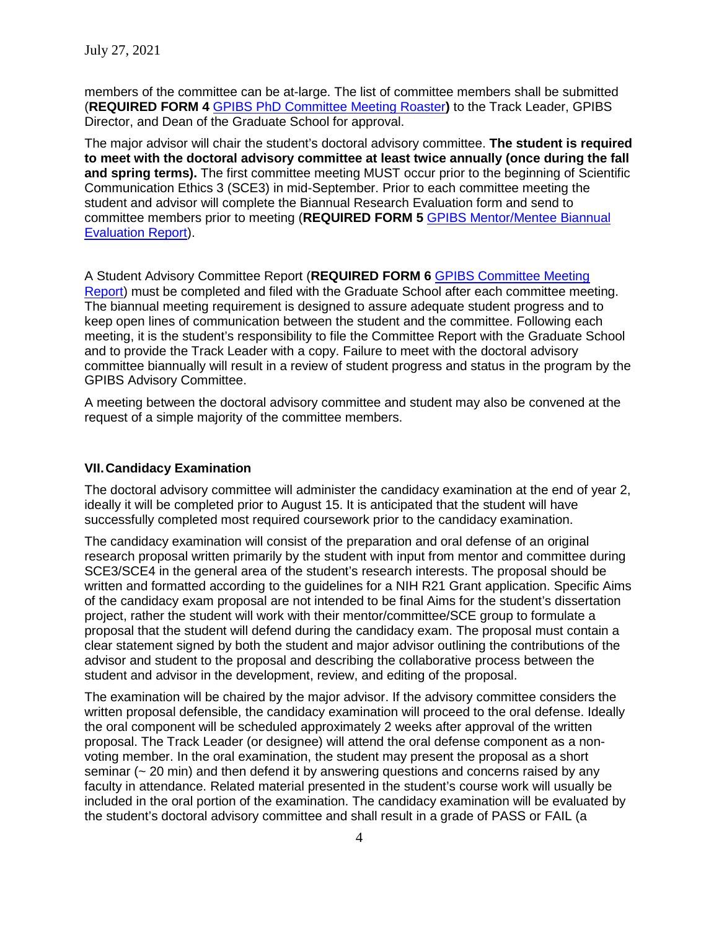members of the committee can be at-large. The list of committee members shall be submitted (**REQUIRED FORM 4** GPIBS PhD [Committee Meeting Roaster](https://gradschool.uams.edu/wp-content/uploads/sites/147/2012/04/Doctoral-Advisory-Committee.pdf)**)** to the Track Leader, GPIBS Director, and Dean of the Graduate School for approval.

The major advisor will chair the student's doctoral advisory committee. **The student is required to meet with the doctoral advisory committee at least twice annually (once during the fall and spring terms).** The first committee meeting MUST occur prior to the beginning of Scientific Communication Ethics 3 (SCE3) in mid-September. Prior to each committee meeting the student and advisor will complete the Biannual Research Evaluation form and send to committee members prior to meeting (**REQUIRED FORM 5** [GPIBS Mentor/Mentee Biannual](https://gradschool.uams.edu/wp-content/uploads/sites/147/2021/07/07.29.21-NEW-FORM-5-biannual-evaluation-of-progression-002.pdf)  [Evaluation Report\)](https://gradschool.uams.edu/wp-content/uploads/sites/147/2021/07/07.29.21-NEW-FORM-5-biannual-evaluation-of-progression-002.pdf).

A Student Advisory Committee Report (**REQUIRED FORM 6** [GPIBS Committee Meeting](https://gradschool.uams.edu/wp-content/uploads/sites/147/2017/05/Graduate-Student-Advisory-Committee-Meeting-Form-2017.pdf)  [Report\)](https://gradschool.uams.edu/wp-content/uploads/sites/147/2017/05/Graduate-Student-Advisory-Committee-Meeting-Form-2017.pdf) must be completed and filed with the Graduate School after each committee meeting. The biannual meeting requirement is designed to assure adequate student progress and to keep open lines of communication between the student and the committee. Following each meeting, it is the student's responsibility to file the Committee Report with the Graduate School and to provide the Track Leader with a copy. Failure to meet with the doctoral advisory committee biannually will result in a review of student progress and status in the program by the GPIBS Advisory Committee.

A meeting between the doctoral advisory committee and student may also be convened at the request of a simple majority of the committee members.

#### **VII.Candidacy Examination**

The doctoral advisory committee will administer the candidacy examination at the end of year 2, ideally it will be completed prior to August 15. It is anticipated that the student will have successfully completed most required coursework prior to the candidacy examination.

The candidacy examination will consist of the preparation and oral defense of an original research proposal written primarily by the student with input from mentor and committee during SCE3/SCE4 in the general area of the student's research interests. The proposal should be written and formatted according to the guidelines for a NIH R21 Grant application. Specific Aims of the candidacy exam proposal are not intended to be final Aims for the student's dissertation project, rather the student will work with their mentor/committee/SCE group to formulate a proposal that the student will defend during the candidacy exam. The proposal must contain a clear statement signed by both the student and major advisor outlining the contributions of the advisor and student to the proposal and describing the collaborative process between the student and advisor in the development, review, and editing of the proposal.

The examination will be chaired by the major advisor. If the advisory committee considers the written proposal defensible, the candidacy examination will proceed to the oral defense. Ideally the oral component will be scheduled approximately 2 weeks after approval of the written proposal. The Track Leader (or designee) will attend the oral defense component as a nonvoting member. In the oral examination, the student may present the proposal as a short seminar  $\sim$  20 min) and then defend it by answering questions and concerns raised by any faculty in attendance. Related material presented in the student's course work will usually be included in the oral portion of the examination. The candidacy examination will be evaluated by the student's doctoral advisory committee and shall result in a grade of PASS or FAIL (a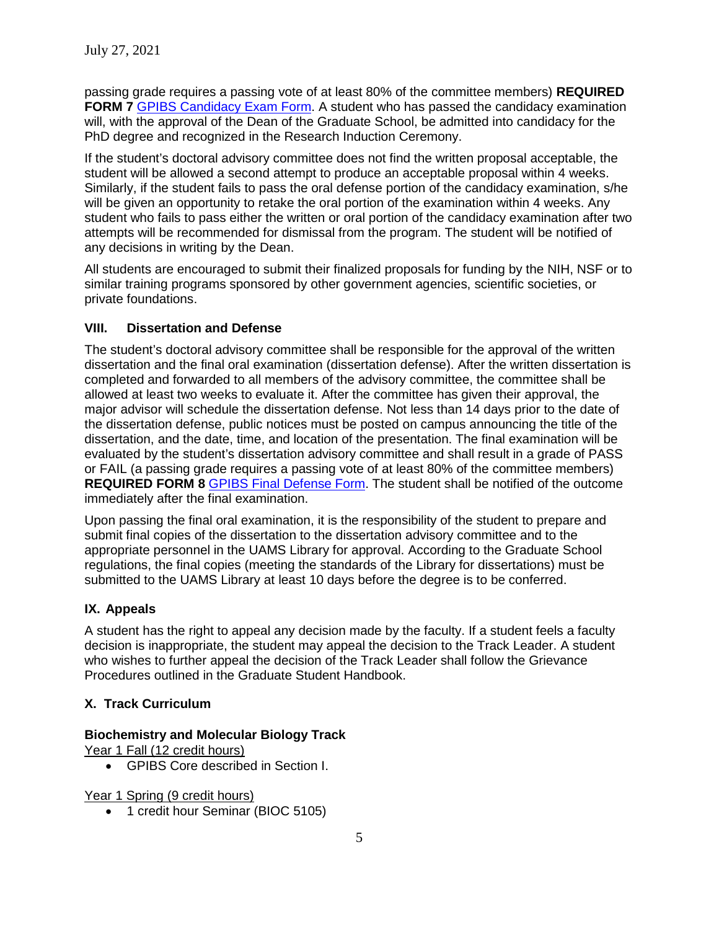passing grade requires a passing vote of at least 80% of the committee members) **REQUIRED FORM 7** [GPIBS Candidacy Exam Form.](https://gradschool.uams.edu/wp-content/uploads/sites/147/2012/04/PhdCandExam.pdf) A student who has passed the candidacy examination will, with the approval of the Dean of the Graduate School, be admitted into candidacy for the PhD degree and recognized in the Research Induction Ceremony.

If the student's doctoral advisory committee does not find the written proposal acceptable, the student will be allowed a second attempt to produce an acceptable proposal within 4 weeks. Similarly, if the student fails to pass the oral defense portion of the candidacy examination, s/he will be given an opportunity to retake the oral portion of the examination within 4 weeks. Any student who fails to pass either the written or oral portion of the candidacy examination after two attempts will be recommended for dismissal from the program. The student will be notified of any decisions in writing by the Dean.

All students are encouraged to submit their finalized proposals for funding by the NIH, NSF or to similar training programs sponsored by other government agencies, scientific societies, or private foundations.

#### **VIII. Dissertation and Defense**

The student's doctoral advisory committee shall be responsible for the approval of the written dissertation and the final oral examination (dissertation defense). After the written dissertation is completed and forwarded to all members of the advisory committee, the committee shall be allowed at least two weeks to evaluate it. After the committee has given their approval, the major advisor will schedule the dissertation defense. Not less than 14 days prior to the date of the dissertation defense, public notices must be posted on campus announcing the title of the dissertation, and the date, time, and location of the presentation. The final examination will be evaluated by the student's dissertation advisory committee and shall result in a grade of PASS or FAIL (a passing grade requires a passing vote of at least 80% of the committee members) **REQUIRED FORM 8** GPIBS [Final Defense Form.](https://gradschool.uams.edu/wp-content/uploads/sites/147/2012/04/PhdFinalExam.pdf) The student shall be notified of the outcome immediately after the final examination.

Upon passing the final oral examination, it is the responsibility of the student to prepare and submit final copies of the dissertation to the dissertation advisory committee and to the appropriate personnel in the UAMS Library for approval. According to the Graduate School regulations, the final copies (meeting the standards of the Library for dissertations) must be submitted to the UAMS Library at least 10 days before the degree is to be conferred.

# **IX. Appeals**

A student has the right to appeal any decision made by the faculty. If a student feels a faculty decision is inappropriate, the student may appeal the decision to the Track Leader. A student who wishes to further appeal the decision of the Track Leader shall follow the Grievance Procedures outlined in the Graduate Student Handbook.

# **X. Track Curriculum**

#### **Biochemistry and Molecular Biology Track**

Year 1 Fall (12 credit hours)

• GPIBS Core described in Section I.

Year 1 Spring (9 credit hours)

• 1 credit hour Seminar (BIOC 5105)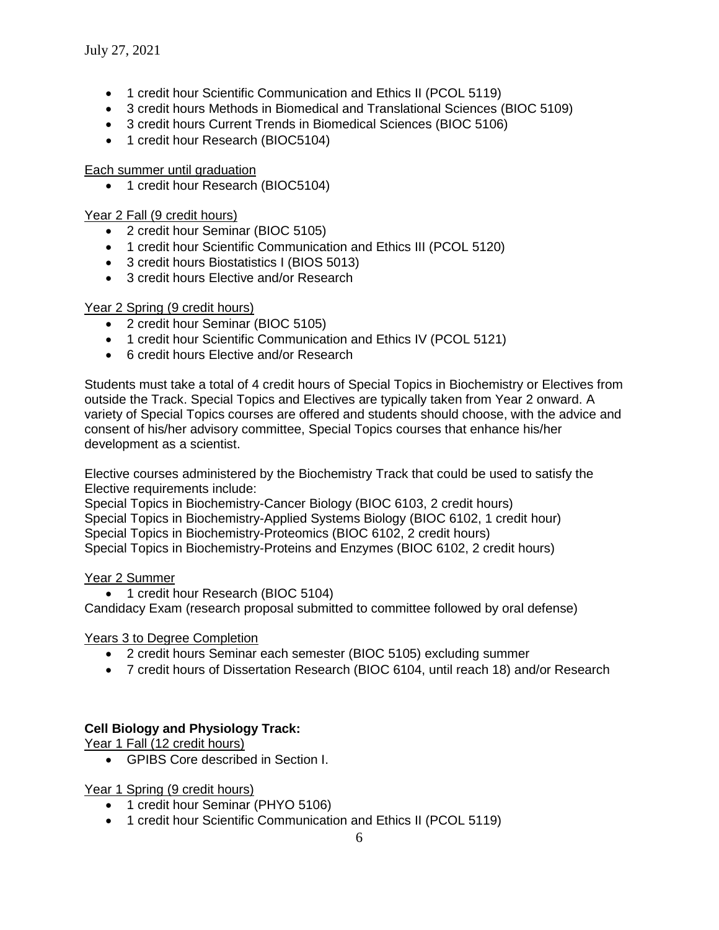- 1 credit hour Scientific Communication and Ethics II (PCOL 5119)
- 3 credit hours Methods in Biomedical and Translational Sciences (BIOC 5109)
- 3 credit hours Current Trends in Biomedical Sciences (BIOC 5106)
- 1 credit hour Research (BIOC5104)

#### Each summer until graduation

• 1 credit hour Research (BIOC5104)

#### Year 2 Fall (9 credit hours)

- 2 credit hour Seminar (BIOC 5105)
- 1 credit hour Scientific Communication and Ethics III (PCOL 5120)
- 3 credit hours Biostatistics I (BIOS 5013)
- 3 credit hours Elective and/or Research

#### Year 2 Spring (9 credit hours)

- 2 credit hour Seminar (BIOC 5105)
- 1 credit hour Scientific Communication and Ethics IV (PCOL 5121)
- 6 credit hours Elective and/or Research

Students must take a total of 4 credit hours of Special Topics in Biochemistry or Electives from outside the Track. Special Topics and Electives are typically taken from Year 2 onward. A variety of Special Topics courses are offered and students should choose, with the advice and consent of his/her advisory committee, Special Topics courses that enhance his/her development as a scientist.

Elective courses administered by the Biochemistry Track that could be used to satisfy the Elective requirements include:

Special Topics in Biochemistry-Cancer Biology (BIOC 6103, 2 credit hours) Special Topics in Biochemistry-Applied Systems Biology (BIOC 6102, 1 credit hour) Special Topics in Biochemistry-Proteomics (BIOC 6102, 2 credit hours) Special Topics in Biochemistry-Proteins and Enzymes (BIOC 6102, 2 credit hours)

#### Year 2 Summer

• 1 credit hour Research (BIOC 5104)

Candidacy Exam (research proposal submitted to committee followed by oral defense)

#### Years 3 to Degree Completion

- 2 credit hours Seminar each semester (BIOC 5105) excluding summer
- 7 credit hours of Dissertation Research (BIOC 6104, until reach 18) and/or Research

#### **Cell Biology and Physiology Track:**

Year 1 Fall (12 credit hours)

• GPIBS Core described in Section I.

Year 1 Spring (9 credit hours)

- 1 credit hour Seminar (PHYO 5106)
- 1 credit hour Scientific Communication and Ethics II (PCOL 5119)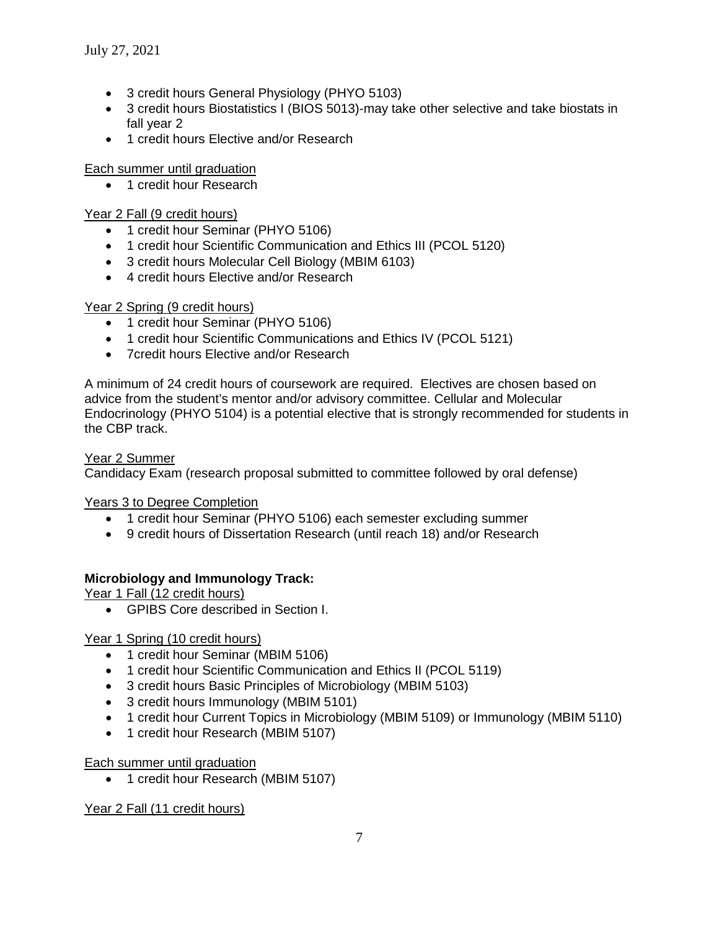- 3 credit hours General Physiology (PHYO 5103)
- 3 credit hours Biostatistics I (BIOS 5013)-may take other selective and take biostats in fall year 2
- 1 credit hours Elective and/or Research

#### Each summer until graduation

• 1 credit hour Research

#### Year 2 Fall (9 credit hours)

- 1 credit hour Seminar (PHYO 5106)
- 1 credit hour Scientific Communication and Ethics III (PCOL 5120)
- 3 credit hours Molecular Cell Biology (MBIM 6103)
- 4 credit hours Elective and/or Research

#### Year 2 Spring (9 credit hours)

- 1 credit hour Seminar (PHYO 5106)
- 1 credit hour Scientific Communications and Ethics IV (PCOL 5121)
- 7credit hours Elective and/or Research

A minimum of 24 credit hours of coursework are required. Electives are chosen based on advice from the student's mentor and/or advisory committee. Cellular and Molecular Endocrinology (PHYO 5104) is a potential elective that is strongly recommended for students in the CBP track.

#### Year 2 Summer

Candidacy Exam (research proposal submitted to committee followed by oral defense)

Years 3 to Degree Completion

- 1 credit hour Seminar (PHYO 5106) each semester excluding summer
- 9 credit hours of Dissertation Research (until reach 18) and/or Research

#### **Microbiology and Immunology Track:**

Year 1 Fall (12 credit hours)

• GPIBS Core described in Section I.

Year 1 Spring (10 credit hours)

- 1 credit hour Seminar (MBIM 5106)
- 1 credit hour Scientific Communication and Ethics II (PCOL 5119)
- 3 credit hours Basic Principles of Microbiology (MBIM 5103)
- 3 credit hours Immunology (MBIM 5101)
- 1 credit hour Current Topics in Microbiology (MBIM 5109) or Immunology (MBIM 5110)
- 1 credit hour Research (MBIM 5107)

Each summer until graduation

• 1 credit hour Research (MBIM 5107)

Year 2 Fall (11 credit hours)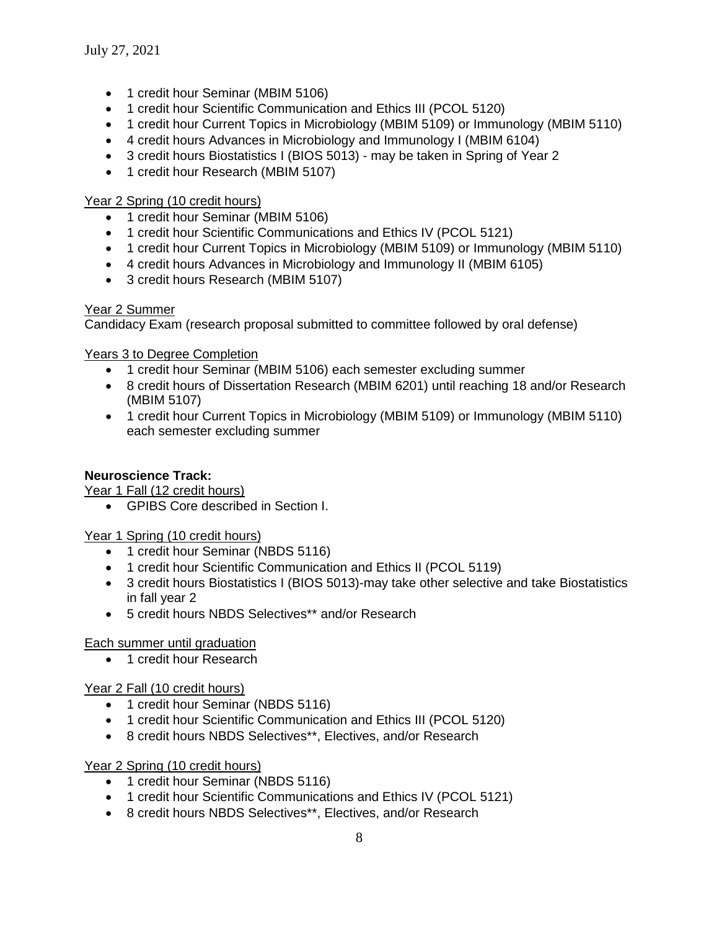- 1 credit hour Seminar (MBIM 5106)
- 1 credit hour Scientific Communication and Ethics III (PCOL 5120)
- 1 credit hour Current Topics in Microbiology (MBIM 5109) or Immunology (MBIM 5110)
- 4 credit hours Advances in Microbiology and Immunology I (MBIM 6104)
- 3 credit hours Biostatistics I (BIOS 5013) may be taken in Spring of Year 2
- 1 credit hour Research (MBIM 5107)

#### Year 2 Spring (10 credit hours)

- 1 credit hour Seminar (MBIM 5106)
- 1 credit hour Scientific Communications and Ethics IV (PCOL 5121)
- 1 credit hour Current Topics in Microbiology (MBIM 5109) or Immunology (MBIM 5110)
- 4 credit hours Advances in Microbiology and Immunology II (MBIM 6105)
- 3 credit hours Research (MBIM 5107)

#### Year 2 Summer

Candidacy Exam (research proposal submitted to committee followed by oral defense)

#### Years 3 to Degree Completion

- 1 credit hour Seminar (MBIM 5106) each semester excluding summer
- 8 credit hours of Dissertation Research (MBIM 6201) until reaching 18 and/or Research (MBIM 5107)
- 1 credit hour Current Topics in Microbiology (MBIM 5109) or Immunology (MBIM 5110) each semester excluding summer

#### **Neuroscience Track:**

Year 1 Fall (12 credit hours)

• GPIBS Core described in Section I.

Year 1 Spring (10 credit hours)

- 1 credit hour Seminar (NBDS 5116)
- 1 credit hour Scientific Communication and Ethics II (PCOL 5119)
- 3 credit hours Biostatistics I (BIOS 5013)-may take other selective and take Biostatistics in fall year 2
- 5 credit hours NBDS Selectives\*\* and/or Research

#### Each summer until graduation

• 1 credit hour Research

#### Year 2 Fall (10 credit hours)

- 1 credit hour Seminar (NBDS 5116)
- 1 credit hour Scientific Communication and Ethics III (PCOL 5120)
- 8 credit hours NBDS Selectives\*\*, Electives, and/or Research

#### Year 2 Spring (10 credit hours)

- 1 credit hour Seminar (NBDS 5116)
- 1 credit hour Scientific Communications and Ethics IV (PCOL 5121)
- 8 credit hours NBDS Selectives\*\*, Electives, and/or Research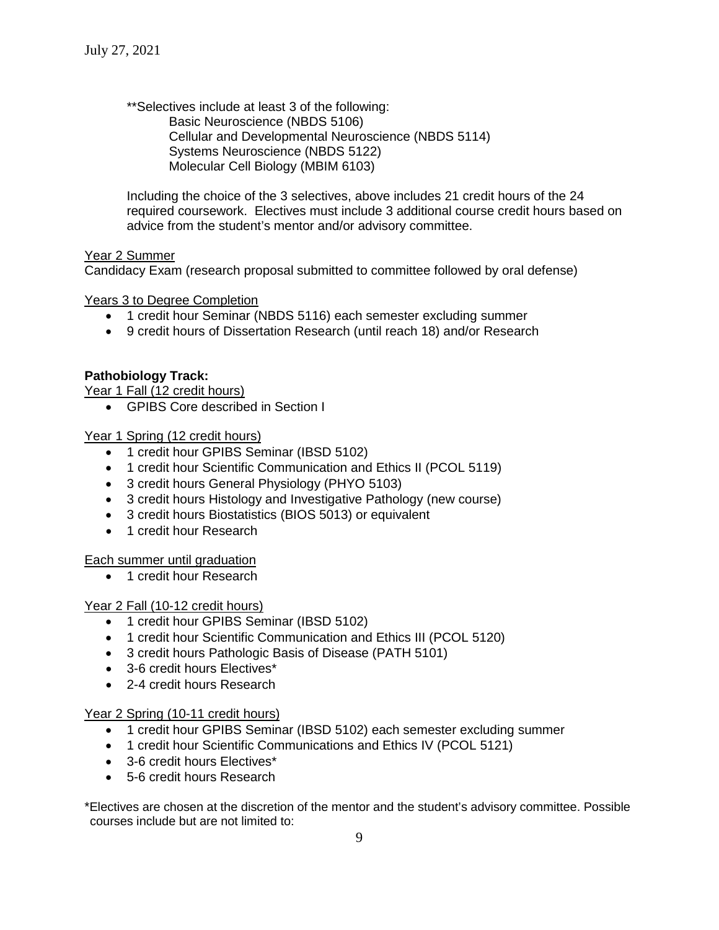\*\*Selectives include at least 3 of the following: Basic Neuroscience (NBDS 5106) Cellular and Developmental Neuroscience (NBDS 5114) Systems Neuroscience (NBDS 5122) Molecular Cell Biology (MBIM 6103)

Including the choice of the 3 selectives, above includes 21 credit hours of the 24 required coursework. Electives must include 3 additional course credit hours based on advice from the student's mentor and/or advisory committee.

#### Year 2 Summer

Candidacy Exam (research proposal submitted to committee followed by oral defense)

Years 3 to Degree Completion

- 1 credit hour Seminar (NBDS 5116) each semester excluding summer
- 9 credit hours of Dissertation Research (until reach 18) and/or Research

#### **Pathobiology Track:**

Year 1 Fall (12 credit hours)

• GPIBS Core described in Section I

Year 1 Spring (12 credit hours)

- 1 credit hour GPIBS Seminar (IBSD 5102)
- 1 credit hour Scientific Communication and Ethics II (PCOL 5119)
- 3 credit hours General Physiology (PHYO 5103)
- 3 credit hours Histology and Investigative Pathology (new course)
- 3 credit hours Biostatistics (BIOS 5013) or equivalent
- 1 credit hour Research

Each summer until graduation

• 1 credit hour Research

#### Year 2 Fall (10-12 credit hours)

- 1 credit hour GPIBS Seminar (IBSD 5102)
- 1 credit hour Scientific Communication and Ethics III (PCOL 5120)
- 3 credit hours Pathologic Basis of Disease (PATH 5101)
- 3-6 credit hours Electives\*
- 2-4 credit hours Research

#### Year 2 Spring (10-11 credit hours)

- 1 credit hour GPIBS Seminar (IBSD 5102) each semester excluding summer
- 1 credit hour Scientific Communications and Ethics IV (PCOL 5121)
- 3-6 credit hours Electives\*
- 5-6 credit hours Research

\*Electives are chosen at the discretion of the mentor and the student's advisory committee. Possible courses include but are not limited to: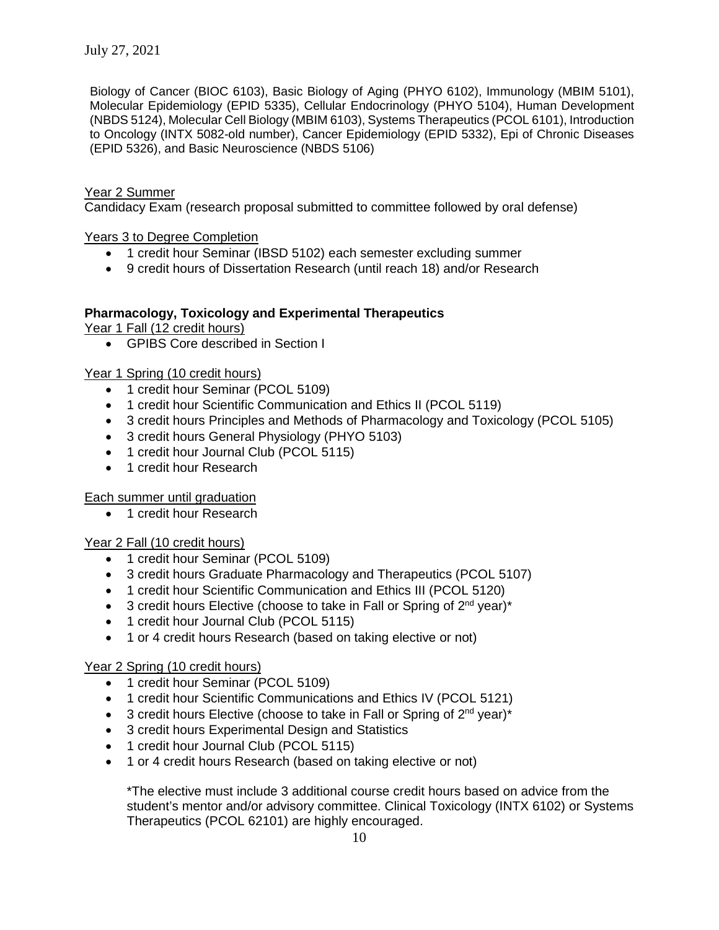Biology of Cancer (BIOC 6103), Basic Biology of Aging (PHYO 6102), Immunology (MBIM 5101), Molecular Epidemiology (EPID 5335), Cellular Endocrinology (PHYO 5104), Human Development (NBDS 5124), Molecular Cell Biology (MBIM 6103), Systems Therapeutics (PCOL 6101), Introduction to Oncology (INTX 5082-old number), Cancer Epidemiology (EPID 5332), Epi of Chronic Diseases (EPID 5326), and Basic Neuroscience (NBDS 5106)

# Year 2 Summer

Candidacy Exam (research proposal submitted to committee followed by oral defense)

Years 3 to Degree Completion

- 1 credit hour Seminar (IBSD 5102) each semester excluding summer
- 9 credit hours of Dissertation Research (until reach 18) and/or Research

#### **Pharmacology, Toxicology and Experimental Therapeutics**

Year 1 Fall (12 credit hours)

• GPIBS Core described in Section I

#### Year 1 Spring (10 credit hours)

- 1 credit hour Seminar (PCOL 5109)
- 1 credit hour Scientific Communication and Ethics II (PCOL 5119)
- 3 credit hours Principles and Methods of Pharmacology and Toxicology (PCOL 5105)
- 3 credit hours General Physiology (PHYO 5103)
- 1 credit hour Journal Club (PCOL 5115)
- 1 credit hour Research

#### Each summer until graduation

• 1 credit hour Research

#### Year 2 Fall (10 credit hours)

- 1 credit hour Seminar (PCOL 5109)
- 3 credit hours Graduate Pharmacology and Therapeutics (PCOL 5107)
- 1 credit hour Scientific Communication and Ethics III (PCOL 5120)
- 3 credit hours Elective (choose to take in Fall or Spring of  $2^{nd}$  year)\*
- 1 credit hour Journal Club (PCOL 5115)
- 1 or 4 credit hours Research (based on taking elective or not)

#### Year 2 Spring (10 credit hours)

- 1 credit hour Seminar (PCOL 5109)
- 1 credit hour Scientific Communications and Ethics IV (PCOL 5121)
- 3 credit hours Elective (choose to take in Fall or Spring of  $2^{nd}$  year)\*
- 3 credit hours Experimental Design and Statistics
- 1 credit hour Journal Club (PCOL 5115)
- 1 or 4 credit hours Research (based on taking elective or not)

\*The elective must include 3 additional course credit hours based on advice from the student's mentor and/or advisory committee. Clinical Toxicology (INTX 6102) or Systems Therapeutics (PCOL 62101) are highly encouraged.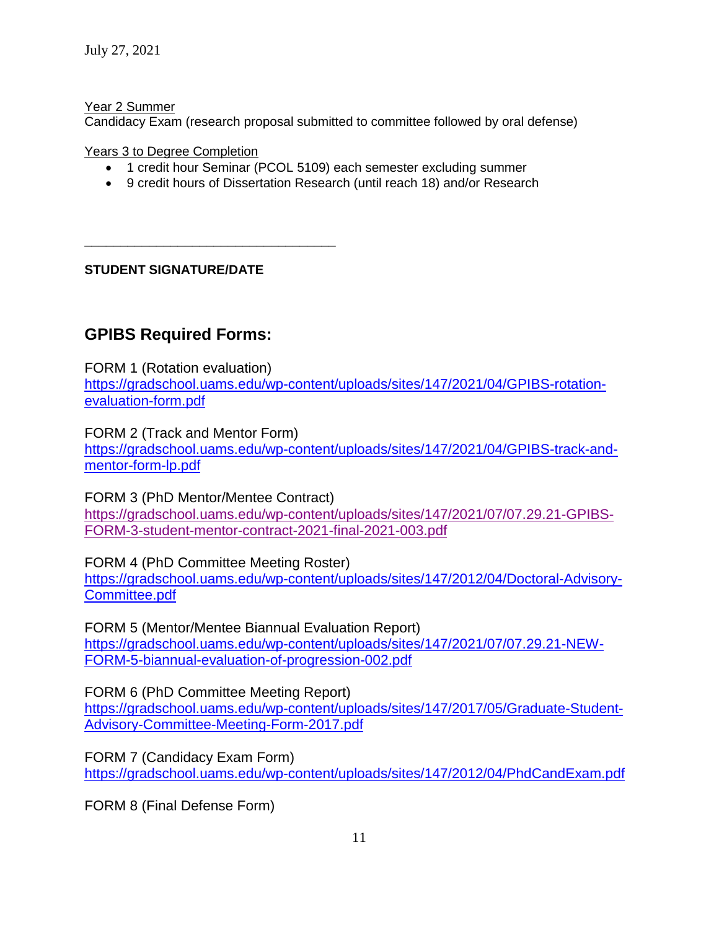Year 2 Summer

Candidacy Exam (research proposal submitted to committee followed by oral defense)

Years 3 to Degree Completion

- 1 credit hour Seminar (PCOL 5109) each semester excluding summer
- 9 credit hours of Dissertation Research (until reach 18) and/or Research

**STUDENT SIGNATURE/DATE**

**\_\_\_\_\_\_\_\_\_\_\_\_\_\_\_\_\_\_\_\_\_\_\_\_\_\_\_\_\_\_\_\_\_\_\_**

# **GPIBS Required Forms:**

FORM 1 (Rotation evaluation)

[https://gradschool.uams.edu/wp-content/uploads/sites/147/2021/04/GPIBS-rotation](https://gradschool.uams.edu/wp-content/uploads/sites/147/2021/04/GPIBS-rotation-evaluation-form.pdf)[evaluation-form.pdf](https://gradschool.uams.edu/wp-content/uploads/sites/147/2021/04/GPIBS-rotation-evaluation-form.pdf)

FORM 2 (Track and Mentor Form)

[https://gradschool.uams.edu/wp-content/uploads/sites/147/2021/04/GPIBS-track-and](https://gradschool.uams.edu/wp-content/uploads/sites/147/2021/04/GPIBS-track-and-mentor-form-lp.pdf)[mentor-form-lp.pdf](https://gradschool.uams.edu/wp-content/uploads/sites/147/2021/04/GPIBS-track-and-mentor-form-lp.pdf)

FORM 3 (PhD Mentor/Mentee Contract) [https://gradschool.uams.edu/wp-content/uploads/sites/147/2021/07/07.29.21-GPIBS-](https://gradschool.uams.edu/wp-content/uploads/sites/147/2021/07/07.29.21-GPIBS-FORM-3-student-mentor-contract-2021-final-2021-003.pdf)[FORM-3-student-mentor-contract-2021-final-2021-003.pdf](https://gradschool.uams.edu/wp-content/uploads/sites/147/2021/07/07.29.21-GPIBS-FORM-3-student-mentor-contract-2021-final-2021-003.pdf)

FORM 4 (PhD Committee Meeting Roster)

[https://gradschool.uams.edu/wp-content/uploads/sites/147/2012/04/Doctoral-Advisory-](https://gradschool.uams.edu/wp-content/uploads/sites/147/2012/04/Doctoral-Advisory-Committee.pdf)[Committee.pdf](https://gradschool.uams.edu/wp-content/uploads/sites/147/2012/04/Doctoral-Advisory-Committee.pdf)

FORM 5 (Mentor/Mentee Biannual Evaluation Report) [https://gradschool.uams.edu/wp-content/uploads/sites/147/2021/07/07.29.21-NEW-](https://gradschool.uams.edu/wp-content/uploads/sites/147/2021/07/07.29.21-NEW-FORM-5-biannual-evaluation-of-progression-002.pdf)[FORM-5-biannual-evaluation-of-progression-002.pdf](https://gradschool.uams.edu/wp-content/uploads/sites/147/2021/07/07.29.21-NEW-FORM-5-biannual-evaluation-of-progression-002.pdf)

# FORM 6 (PhD Committee Meeting Report)

[https://gradschool.uams.edu/wp-content/uploads/sites/147/2017/05/Graduate-Student-](https://gradschool.uams.edu/wp-content/uploads/sites/147/2017/05/Graduate-Student-Advisory-Committee-Meeting-Form-2017.pdf)[Advisory-Committee-Meeting-Form-2017.pdf](https://gradschool.uams.edu/wp-content/uploads/sites/147/2017/05/Graduate-Student-Advisory-Committee-Meeting-Form-2017.pdf)

FORM 7 (Candidacy Exam Form)

<https://gradschool.uams.edu/wp-content/uploads/sites/147/2012/04/PhdCandExam.pdf>

FORM 8 (Final Defense Form)